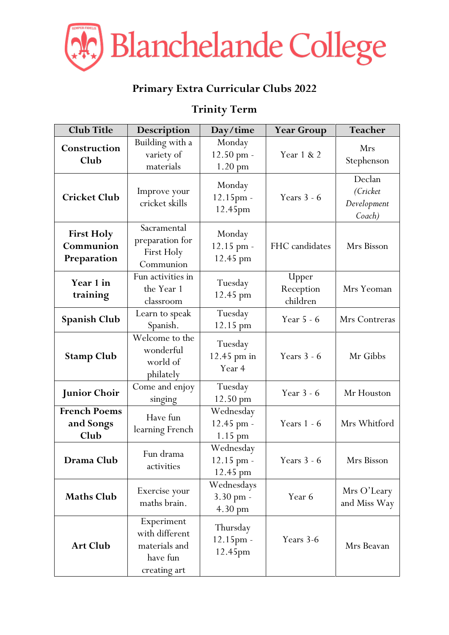

## **Primary Extra Curricular Clubs 2022**

## **Trinity Term**

| <b>Club Title</b>                             | Description                                                               | Day/time                                     | <b>Year Group</b>              | Teacher                                     |
|-----------------------------------------------|---------------------------------------------------------------------------|----------------------------------------------|--------------------------------|---------------------------------------------|
| Construction<br>Club                          | Building with a<br>variety of<br>materials                                | Monday<br>12.50 pm -<br>1.20 pm              | Year 1 & 2                     | Mrs<br>Stephenson                           |
| <b>Cricket Club</b>                           | Improve your<br>cricket skills                                            | Monday<br>12.15pm -<br>12.45pm               | Years $3 - 6$                  | Declan<br>(Cricket<br>Development<br>Coach) |
| <b>First Holy</b><br>Communion<br>Preparation | Sacramental<br>preparation for<br>First Holy<br>Communion                 | Monday<br>12.15 pm -<br>12.45 pm             | FHC candidates                 | Mrs Bisson                                  |
| Year 1 in<br>training                         | Fun activities in<br>the Year 1<br>classroom                              | Tuesday<br>12.45 pm                          | Upper<br>Reception<br>children | Mrs Yeoman                                  |
| <b>Spanish Club</b>                           | Learn to speak<br>Spanish.                                                | Tuesday<br>12.15 pm                          | Year 5 - 6                     | Mrs Contreras                               |
| <b>Stamp Club</b>                             | Welcome to the<br>wonderful<br>world of<br>philately                      | Tuesday<br>12.45 pm in<br>Year 4             | Years $3 - 6$                  | Mr Gibbs                                    |
| <b>Junior Choir</b>                           | Come and enjoy<br>singing                                                 | Tuesday<br>12.50 pm                          | Year 3 - 6                     | Mr Houston                                  |
| <b>French Poems</b><br>and Songs<br>Club      | Have fun<br>learning French                                               | Wednesday<br>12.45 pm -<br>1.15 pm           | Years 1 - 6                    | Mrs Whitford                                |
| Drama Club                                    | Fun drama<br>activities                                                   | Wednesday<br>12.15 pm -<br>12.45 pm          | Years $3 - 6$                  | Mrs Bisson                                  |
| <b>Maths Club</b>                             | Exercise your<br>maths brain.                                             | Wednesdays<br>3.30 pm -<br>$4.30 \text{ pm}$ | Year 6                         | Mrs O'Leary<br>and Miss Way                 |
| <b>Art Club</b>                               | Experiment<br>with different<br>materials and<br>have fun<br>creating art | Thursday<br>12.15pm -<br>12.45pm             | Years 3-6                      | Mrs Beavan                                  |